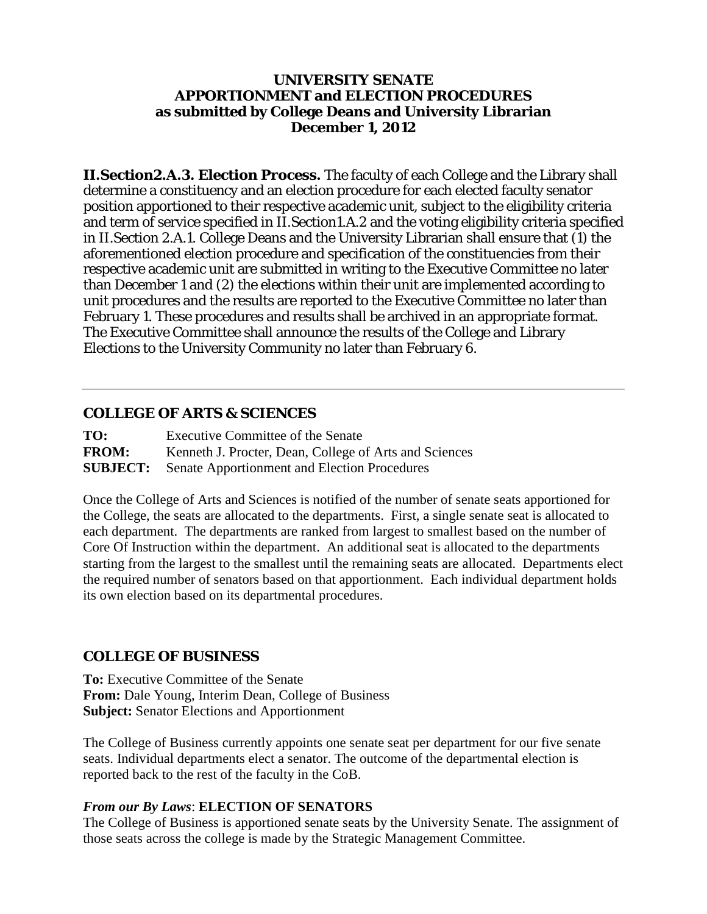#### **UNIVERSITY SENATE APPORTIONMENT and ELECTION PROCEDURES as submitted by College Deans and University Librarian December 1, 2012**

**II.Section2.A.3.** *Election Process.* The faculty of each College and the Library shall determine a constituency and an election procedure for each elected faculty senator position apportioned to their respective academic unit, subject to the eligibility criteria and term of service specified in II.Section1.A.2 and the voting eligibility criteria specified in II.Section 2.A.1. College Deans and the University Librarian shall ensure that (1) the aforementioned election procedure and specification of the constituencies from their respective academic unit are submitted in writing to the Executive Committee no later than December 1 and (2) the elections within their unit are implemented according to unit procedures and the results are reported to the Executive Committee no later than February 1. These procedures and results shall be archived in an appropriate format. The Executive Committee shall announce the results of the College and Library Elections to the University Community no later than February 6.

## **COLLEGE OF ARTS & SCIENCES**

| TO:             | Executive Committee of the Senate                      |
|-----------------|--------------------------------------------------------|
| <b>FROM:</b>    | Kenneth J. Procter, Dean, College of Arts and Sciences |
| <b>SUBJECT:</b> | <b>Senate Apportionment and Election Procedures</b>    |

Once the College of Arts and Sciences is notified of the number of senate seats apportioned for the College, the seats are allocated to the departments. First, a single senate seat is allocated to each department. The departments are ranked from largest to smallest based on the number of Core Of Instruction within the department. An additional seat is allocated to the departments starting from the largest to the smallest until the remaining seats are allocated. Departments elect the required number of senators based on that apportionment. Each individual department holds its own election based on its departmental procedures.

#### **COLLEGE OF BUSINESS**

**To:** Executive Committee of the Senate **From:** Dale Young, Interim Dean, College of Business **Subject:** Senator Elections and Apportionment

The College of Business currently appoints one senate seat per department for our five senate seats. Individual departments elect a senator. The outcome of the departmental election is reported back to the rest of the faculty in the CoB.

#### *From our By Laws*: **ELECTION OF SENATORS**

The College of Business is apportioned senate seats by the University Senate. The assignment of those seats across the college is made by the Strategic Management Committee.